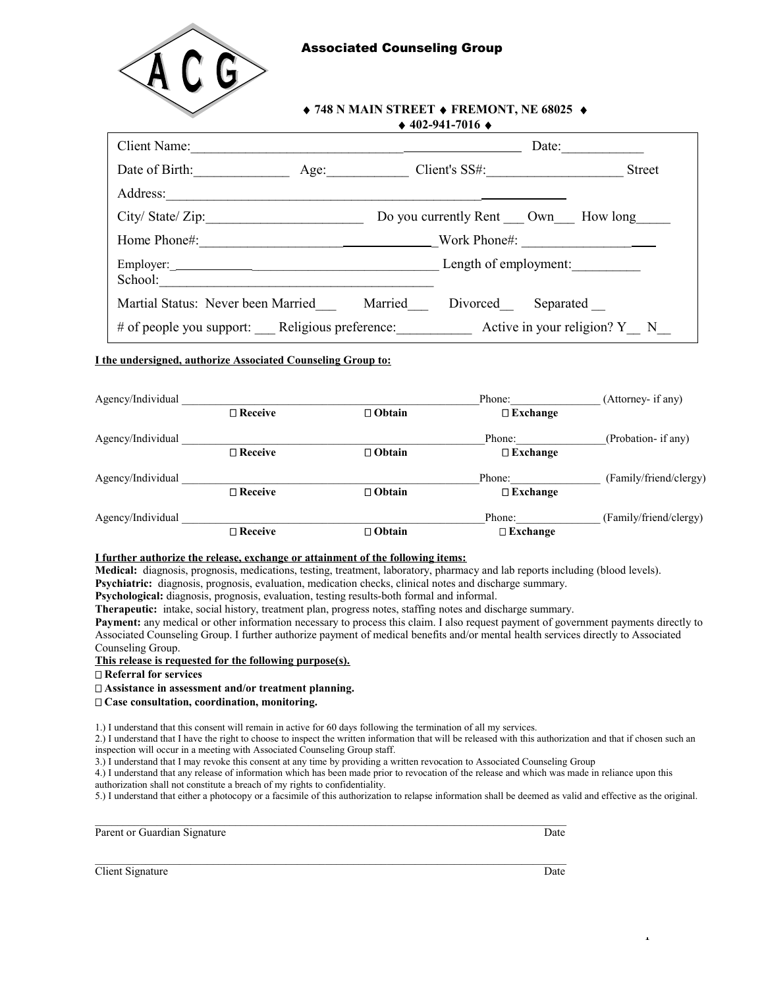

## **748 N MAIN STREET FREMONT, NE 68025 402-941-7016**

| Client Name:                                                                |      |                                    | Date:     |               |
|-----------------------------------------------------------------------------|------|------------------------------------|-----------|---------------|
| Date of Birth:                                                              | Age: | Client's $SS#$ :                   |           | <b>Street</b> |
| Address:                                                                    |      |                                    |           |               |
| City/State/Zip:                                                             |      | Do you currently Rent Own How long |           |               |
| Home Phone#: Nork Phone#:                                                   |      |                                    |           |               |
| School:                                                                     |      | Length of employment:              |           |               |
| Martial Status: Never been Married Married                                  |      | Divorced                           | Separated |               |
| # of people you support: Religious preference: Active in your religion? Y N |      |                                    |           |               |

## **I the undersigned, authorize Associated Counseling Group to:**

| Agency/Individual |                   |               | Phone:          | (Attorney- if any)     |
|-------------------|-------------------|---------------|-----------------|------------------------|
|                   | $\Box$ Receive    | $\Box$ Obtain | $\Box$ Exchange |                        |
| Agency/Individual |                   |               | Phone:          | (Probation- if any)    |
|                   | $\Box$ Receive    | $\Box$ Obtain | $\Box$ Exchange |                        |
| Agency/Individual |                   |               | Phone:          | (Family/friend/clergy) |
|                   | $\Box$ Receive    | $\Box$ Obtain | $\Box$ Exchange |                        |
| Agency/Individual |                   |               | Phone:          | (Family/friend/clergy) |
|                   | $\square$ Receive | $\Box$ Obtain | $\Box$ Exchange |                        |

## **I further authorize the release, exchange or attainment of the following items:**

**Medical:** diagnosis, prognosis, medications, testing, treatment, laboratory, pharmacy and lab reports including (blood levels). **Psychiatric:** diagnosis, prognosis, evaluation, medication checks, clinical notes and discharge summary.

**Psychological:** diagnosis, prognosis, evaluation, testing results-both formal and informal.

**Therapeutic:** intake, social history, treatment plan, progress notes, staffing notes and discharge summary.

**Payment:** any medical or other information necessary to process this claim. I also request payment of government payments directly to Associated Counseling Group. I further authorize payment of medical benefits and/or mental health services directly to Associated Counseling Group.

#### **This release is requested for the following purpose(s).**

 **Referral for services**

### **Assistance in assessment and/or treatment planning.**

 **Case consultation, coordination, monitoring.**

1.) I understand that this consent will remain in active for 60 days following the termination of all my services.

2.) I understand that I have the right to choose to inspect the written information that will be released with this authorization and that if chosen such an inspection will occur in a meeting with Associated Counseling Group staff.

3.) I understand that I may revoke this consent at any time by providing a written revocation to Associated Counseling Group

4.) I understand that any release of information which has been made prior to revocation of the release and which was made in reliance upon this authorization shall not constitute a breach of my rights to confidentiality.

5.) I understand that either a photocopy or a facsimile of this authorization to relapse information shall be deemed as valid and effective as the original.

Parent or Guardian Signature Date Date of Guardian Signature Date Date Date Date

**Client Signature** Date **Date** 

1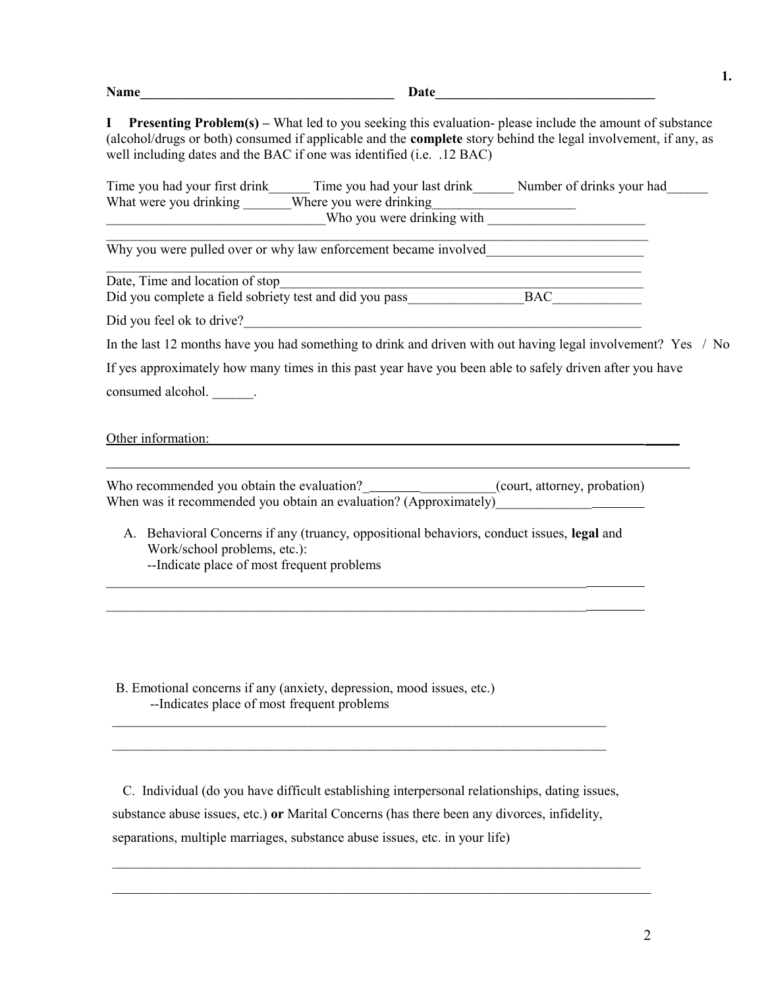| <b>Name</b> | wate |
|-------------|------|
|             |      |

 $\mathcal{L}_\mathcal{L} = \mathcal{L}_\mathcal{L} = \mathcal{L}_\mathcal{L} = \mathcal{L}_\mathcal{L} = \mathcal{L}_\mathcal{L} = \mathcal{L}_\mathcal{L} = \mathcal{L}_\mathcal{L} = \mathcal{L}_\mathcal{L} = \mathcal{L}_\mathcal{L} = \mathcal{L}_\mathcal{L} = \mathcal{L}_\mathcal{L} = \mathcal{L}_\mathcal{L} = \mathcal{L}_\mathcal{L} = \mathcal{L}_\mathcal{L} = \mathcal{L}_\mathcal{L} = \mathcal{L}_\mathcal{L} = \mathcal{L}_\mathcal{L}$ 

 $\mathcal{L}_\mathcal{L} = \{ \mathcal{L}_\mathcal{L} = \{ \mathcal{L}_\mathcal{L} = \{ \mathcal{L}_\mathcal{L} = \{ \mathcal{L}_\mathcal{L} = \{ \mathcal{L}_\mathcal{L} = \{ \mathcal{L}_\mathcal{L} = \{ \mathcal{L}_\mathcal{L} = \{ \mathcal{L}_\mathcal{L} = \{ \mathcal{L}_\mathcal{L} = \{ \mathcal{L}_\mathcal{L} = \{ \mathcal{L}_\mathcal{L} = \{ \mathcal{L}_\mathcal{L} = \{ \mathcal{L}_\mathcal{L} = \{ \mathcal{L}_\mathcal{$ 

**I Presenting Problem(s) –** What led to you seeking this evaluation- please include the amount of substance (alcohol/drugs or both) consumed if applicable and the **complete** story behind the legal involvement, if any, as well including dates and the BAC if one was identified (i.e.  $.12$  BAC)

| Time you had your first drink | Time you had your last drink | Number of drinks your had |
|-------------------------------|------------------------------|---------------------------|
| What were you drinking        | Where you were drinking      |                           |
|                               | Who you were drinking with   |                           |

Why you were pulled over or why law enforcement became involved

Date, Time and location of stop

Did you complete a field sobriety test and did you pass BAC

Did you feel ok to drive?

In the last 12 months have you had something to drink and driven with out having legal involvement? Yes / No

|                   | If yes approximately how many times in this past year have you been able to safely driven after you have |  |  |
|-------------------|----------------------------------------------------------------------------------------------------------|--|--|
| consumed alcohol. |                                                                                                          |  |  |

Other information: \_\_\_\_\_

 $\overline{a}$ 

Who recommended you obtain the evaluation?\_\_\_\_\_\_\_\_\_\_\_\_\_\_\_\_(court, attorney, probation) When was it recommended you obtain an evaluation?  $(Approximately)$ 

 A. Behavioral Concerns if any (truancy, oppositional behaviors, conduct issues, **legal** and Work/school problems, etc.): --Indicate place of most frequent problems

 $\mathcal{L}_\mathcal{L} = \{ \mathcal{L}_\mathcal{L} = \{ \mathcal{L}_\mathcal{L} = \{ \mathcal{L}_\mathcal{L} = \{ \mathcal{L}_\mathcal{L} = \{ \mathcal{L}_\mathcal{L} = \{ \mathcal{L}_\mathcal{L} = \{ \mathcal{L}_\mathcal{L} = \{ \mathcal{L}_\mathcal{L} = \{ \mathcal{L}_\mathcal{L} = \{ \mathcal{L}_\mathcal{L} = \{ \mathcal{L}_\mathcal{L} = \{ \mathcal{L}_\mathcal{L} = \{ \mathcal{L}_\mathcal{L} = \{ \mathcal{L}_\mathcal{$  $\mathcal{L}_\text{max} = \mathcal{L}_\text{max} = \mathcal{L}_\text{max} = \mathcal{L}_\text{max} = \mathcal{L}_\text{max} = \mathcal{L}_\text{max} = \mathcal{L}_\text{max} = \mathcal{L}_\text{max} = \mathcal{L}_\text{max} = \mathcal{L}_\text{max} = \mathcal{L}_\text{max} = \mathcal{L}_\text{max} = \mathcal{L}_\text{max} = \mathcal{L}_\text{max} = \mathcal{L}_\text{max} = \mathcal{L}_\text{max} = \mathcal{L}_\text{max} = \mathcal{L}_\text{max} = \mathcal{$ 

 B. Emotional concerns if any (anxiety, depression, mood issues, etc.) --Indicates place of most frequent problems

 C. Individual (do you have difficult establishing interpersonal relationships, dating issues, substance abuse issues, etc.) **or** Marital Concerns (has there been any divorces, infidelity, separations, multiple marriages, substance abuse issues, etc. in your life)

 $\mathcal{L}_\text{max}$  , and the contribution of the contribution of the contribution of the contribution of the contribution of the contribution of the contribution of the contribution of the contribution of the contribution of t

 $\mathcal{L}_\text{max} = \frac{1}{2} \sum_{i=1}^n \mathcal{L}_\text{max}(\mathbf{x}_i - \mathbf{y}_i)$  $\mathcal{L}_\text{max} = \frac{1}{2} \sum_{i=1}^n \mathcal{L}_\text{max}(\mathbf{x}_i - \mathbf{y}_i)$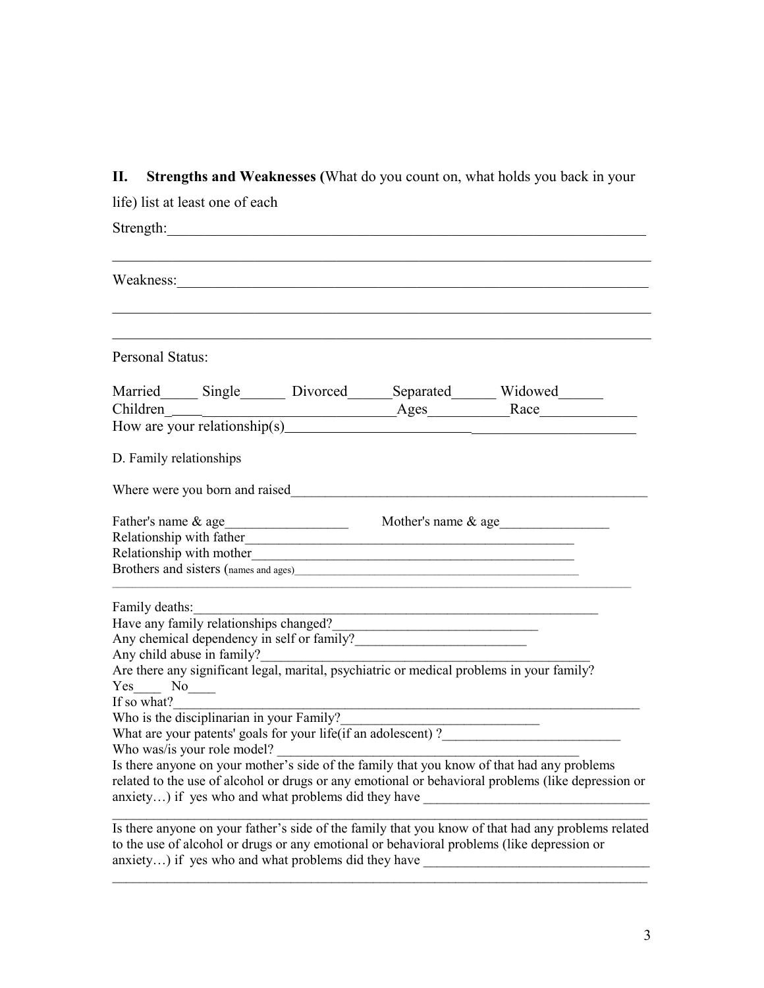**II. Strengths and Weaknesses (**What do you count on, what holds you back in your

| life) list at least one of each                                                                                                                                                                                                                                                                                                                                                                                                                                                                                                                                                                                                                                                                                                                   |                                                               |  |
|---------------------------------------------------------------------------------------------------------------------------------------------------------------------------------------------------------------------------------------------------------------------------------------------------------------------------------------------------------------------------------------------------------------------------------------------------------------------------------------------------------------------------------------------------------------------------------------------------------------------------------------------------------------------------------------------------------------------------------------------------|---------------------------------------------------------------|--|
| Strength: <u>Contractors and the set of the set of the set of the set of the set of the set of the set of the set of the set of the set of the set of the set of the set of the set of the set of the set of the set of the set </u>                                                                                                                                                                                                                                                                                                                                                                                                                                                                                                              |                                                               |  |
|                                                                                                                                                                                                                                                                                                                                                                                                                                                                                                                                                                                                                                                                                                                                                   |                                                               |  |
| Personal Status:                                                                                                                                                                                                                                                                                                                                                                                                                                                                                                                                                                                                                                                                                                                                  |                                                               |  |
| Married Single Divorced Separated Widowed                                                                                                                                                                                                                                                                                                                                                                                                                                                                                                                                                                                                                                                                                                         |                                                               |  |
|                                                                                                                                                                                                                                                                                                                                                                                                                                                                                                                                                                                                                                                                                                                                                   |                                                               |  |
|                                                                                                                                                                                                                                                                                                                                                                                                                                                                                                                                                                                                                                                                                                                                                   |                                                               |  |
| D. Family relationships                                                                                                                                                                                                                                                                                                                                                                                                                                                                                                                                                                                                                                                                                                                           |                                                               |  |
| Where were you born and raised <b>Exercísies Where were you born and raised</b>                                                                                                                                                                                                                                                                                                                                                                                                                                                                                                                                                                                                                                                                   |                                                               |  |
|                                                                                                                                                                                                                                                                                                                                                                                                                                                                                                                                                                                                                                                                                                                                                   |                                                               |  |
| Family deaths:<br>Have any family relationships changed?<br>Any chemical dependency in self or family?<br>Any child abuse in family?<br>Are there any significant legal, marital, psychiatric or medical problems in your family?<br>$Yes \_ No \_$<br>If so what?<br>$\frac{1}{2}$ So what:<br>Who is the disciplinarian in your Family?<br>who is the disciplinarian in your Family?<br>What are your patents' goals for your life(if an adolescent)?<br>Who was/is your role model?<br>Is there anyone on your mother's side of the family that you know of that had any problems<br>related to the use of alcohol or drugs or any emotional or behavioral problems (like depression or<br>anxiety) if yes who and what problems did they have | <u> 1989 - Jan James James Barbara, politik eta idazlea (</u> |  |
| Is there anyone on your father's side of the family that you know of that had any problems related                                                                                                                                                                                                                                                                                                                                                                                                                                                                                                                                                                                                                                                |                                                               |  |

Is there anyone on your father's side of the family that you know of that had any problems related to the use of alcohol or drugs or any emotional or behavioral problems (like depression or anxiety...) if yes who and what problems did they have

 $\mathcal{L}_\mathcal{L} = \{ \mathcal{L}_\mathcal{L} = \{ \mathcal{L}_\mathcal{L} = \{ \mathcal{L}_\mathcal{L} = \{ \mathcal{L}_\mathcal{L} = \{ \mathcal{L}_\mathcal{L} = \{ \mathcal{L}_\mathcal{L} = \{ \mathcal{L}_\mathcal{L} = \{ \mathcal{L}_\mathcal{L} = \{ \mathcal{L}_\mathcal{L} = \{ \mathcal{L}_\mathcal{L} = \{ \mathcal{L}_\mathcal{L} = \{ \mathcal{L}_\mathcal{L} = \{ \mathcal{L}_\mathcal{L} = \{ \mathcal{L}_\mathcal{$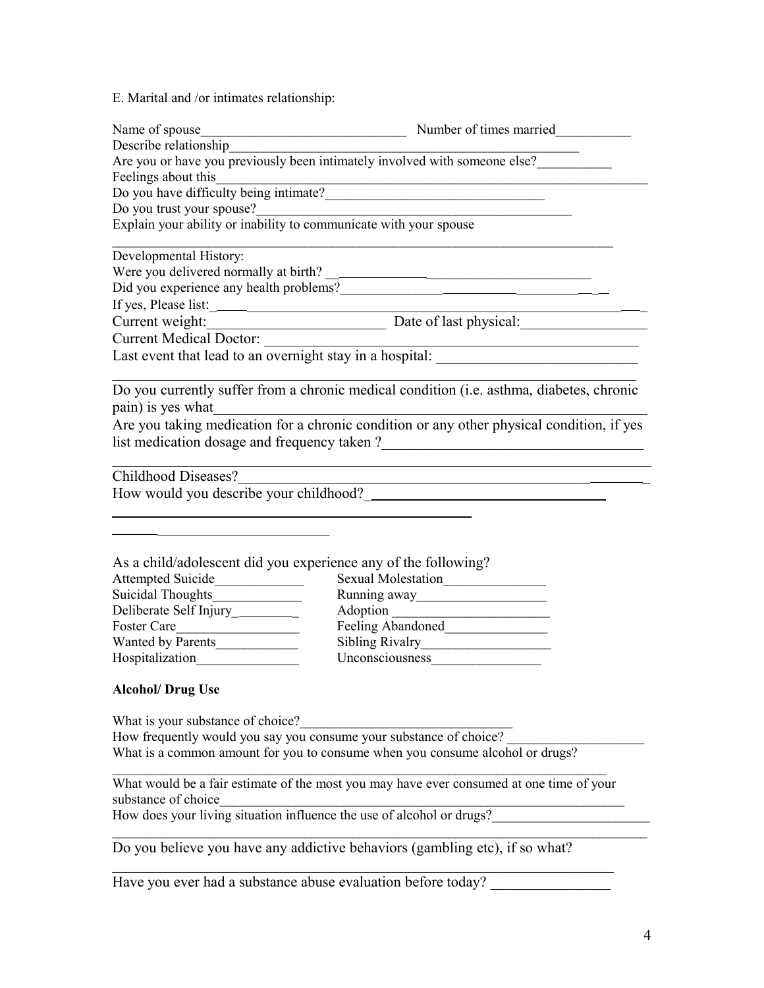E. Marital and /or intimates relationship:

|                                                                    | Describe relationship<br>Are you or have you previously been intimately involved with someone else?                    |
|--------------------------------------------------------------------|------------------------------------------------------------------------------------------------------------------------|
| Feelings about this                                                |                                                                                                                        |
|                                                                    | Do you have difficulty being intimate?                                                                                 |
|                                                                    |                                                                                                                        |
|                                                                    | Do you trust your spouse?<br>Explain your ability or inability to communicate with your spouse                         |
|                                                                    |                                                                                                                        |
| Developmental History:                                             |                                                                                                                        |
|                                                                    |                                                                                                                        |
|                                                                    |                                                                                                                        |
|                                                                    |                                                                                                                        |
|                                                                    | If yes, Please list:<br>Current weight: Date of last physical:                                                         |
|                                                                    |                                                                                                                        |
|                                                                    | Last event that lead to an overnight stay in a hospital:                                                               |
|                                                                    |                                                                                                                        |
|                                                                    | Do you currently suffer from a chronic medical condition (i.e. asthma, diabetes, chronic                               |
|                                                                    |                                                                                                                        |
|                                                                    | pain) is yes what<br>Are you taking medication for a chronic condition or any other physical condition, if yes         |
|                                                                    |                                                                                                                        |
|                                                                    |                                                                                                                        |
| Childhood Diseases?                                                |                                                                                                                        |
|                                                                    | <u> 1989 - Johann Stoff, deutscher Stoffen und der Stoffen und der Stoffen und der Stoffen und der Stoffen und der</u> |
|                                                                    |                                                                                                                        |
|                                                                    |                                                                                                                        |
|                                                                    |                                                                                                                        |
|                                                                    |                                                                                                                        |
| As a child/adolescent did you experience any of the following?     |                                                                                                                        |
| Attempted Suicide                                                  |                                                                                                                        |
|                                                                    | Running away                                                                                                           |
| Deliberate Self Injury__________                                   |                                                                                                                        |
| Foster Care                                                        | Feeling Abandoned<br><u>Leadenborned</u>                                                                               |
| Wanted by Parents                                                  |                                                                                                                        |
|                                                                    |                                                                                                                        |
|                                                                    |                                                                                                                        |
| <b>Alcohol/ Drug Use</b>                                           |                                                                                                                        |
|                                                                    |                                                                                                                        |
| What is your substance of choice?                                  |                                                                                                                        |
| How frequently would you say you consume your substance of choice? |                                                                                                                        |
|                                                                    | What is a common amount for you to consume when you consume alcohol or drugs?                                          |
|                                                                    |                                                                                                                        |
|                                                                    | What would be a fair estimate of the most you may have ever consumed at one time of your                               |
| substance of choice                                                |                                                                                                                        |

How does your living situation influence the use of alcohol or drugs?

Do you believe you have any addictive behaviors (gambling etc), if so what?

 $\mathcal{L}_\text{max} = \mathcal{L}_\text{max} = \mathcal{L}_\text{max} = \mathcal{L}_\text{max} = \mathcal{L}_\text{max} = \mathcal{L}_\text{max} = \mathcal{L}_\text{max} = \mathcal{L}_\text{max} = \mathcal{L}_\text{max} = \mathcal{L}_\text{max} = \mathcal{L}_\text{max} = \mathcal{L}_\text{max} = \mathcal{L}_\text{max} = \mathcal{L}_\text{max} = \mathcal{L}_\text{max} = \mathcal{L}_\text{max} = \mathcal{L}_\text{max} = \mathcal{L}_\text{max} = \mathcal{$ 

 $\mathcal{L}_\mathcal{L} = \{ \mathcal{L}_\mathcal{L} = \{ \mathcal{L}_\mathcal{L} = \{ \mathcal{L}_\mathcal{L} = \{ \mathcal{L}_\mathcal{L} = \{ \mathcal{L}_\mathcal{L} = \{ \mathcal{L}_\mathcal{L} = \{ \mathcal{L}_\mathcal{L} = \{ \mathcal{L}_\mathcal{L} = \{ \mathcal{L}_\mathcal{L} = \{ \mathcal{L}_\mathcal{L} = \{ \mathcal{L}_\mathcal{L} = \{ \mathcal{L}_\mathcal{L} = \{ \mathcal{L}_\mathcal{L} = \{ \mathcal{L}_\mathcal{$ 

Have you ever had a substance abuse evaluation before today?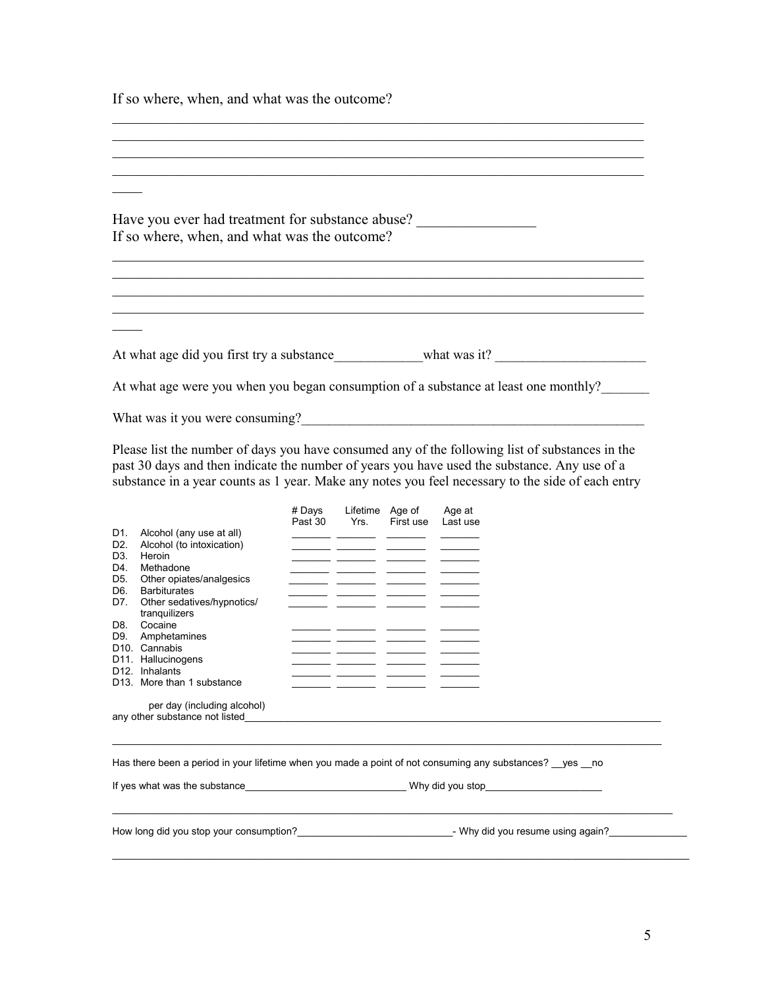If so where, when, and what was the outcome?

| <u> 1989 - Johann Barbara, margaret amerikan basal dan berasal dan berasal dalam basal dan berasal dan berasal da</u> |
|-----------------------------------------------------------------------------------------------------------------------|
|                                                                                                                       |
|                                                                                                                       |
| Have you ever had treatment for substance abuse?<br>If so where, when, and what was the outcome?                      |
|                                                                                                                       |
|                                                                                                                       |
|                                                                                                                       |
| At what age did you first try a substance what was it?                                                                |
| At what age were you when you began consumption of a substance at least one monthly?                                  |
| What was it you were consuming?                                                                                       |

Please list the number of days you have consumed any of the following list of substances in the past 30 days and then indicate the number of years you have used the substance. Any use of a substance in a year counts as 1 year. Make any notes you feel necessary to the side of each entry

|                  |                                         | # Days  | Lifetime | Age of    | Age at   |
|------------------|-----------------------------------------|---------|----------|-----------|----------|
|                  |                                         | Past 30 | Yrs.     | First use | Last use |
| D1.              | Alcohol (any use at all)                |         |          |           |          |
| D <sub>2</sub> . | Alcohol (to intoxication)               |         |          |           |          |
| D <sub>3</sub>   | Heroin                                  |         |          |           |          |
| D4.              | Methadone                               |         |          |           |          |
| D5.              | Other opiates/analgesics                |         |          |           |          |
| D <sub>6</sub>   | <b>Barbiturates</b>                     |         |          |           |          |
| D7.              | Other sedatives/hypnotics/              |         |          |           |          |
|                  | tranguilizers                           |         |          |           |          |
| D8.              | Cocaine                                 |         |          |           |          |
| D9.              | Amphetamines                            |         |          |           |          |
| D <sub>10</sub>  | Cannabis                                |         |          |           |          |
|                  | D <sub>11</sub> . Hallucinogens         |         |          |           |          |
| D <sub>12</sub>  | Inhalants                               |         |          |           |          |
|                  | D <sub>13</sub> . More than 1 substance |         |          |           |          |
|                  |                                         |         |          |           |          |
|                  | per day (including alcohol)             |         |          |           |          |
|                  | any other substance not listed          |         |          |           |          |

Has there been a period in your lifetime when you made a point of not consuming any substances? \_\_yes \_\_no

\_\_\_\_\_\_\_\_\_\_\_\_\_\_\_\_\_\_\_\_\_\_\_\_\_\_\_\_\_\_\_\_\_\_\_\_\_\_\_\_\_\_\_\_\_\_\_\_\_\_\_\_\_\_\_\_\_\_\_\_\_\_\_\_\_\_\_\_\_\_\_\_\_\_\_\_\_\_\_\_\_\_\_\_\_\_\_\_\_\_\_\_\_\_\_\_\_\_\_

 $\mathcal{L}_\mathcal{L} = \{ \mathcal{L}_\mathcal{L} = \{ \mathcal{L}_\mathcal{L} = \{ \mathcal{L}_\mathcal{L} = \{ \mathcal{L}_\mathcal{L} = \{ \mathcal{L}_\mathcal{L} = \{ \mathcal{L}_\mathcal{L} = \{ \mathcal{L}_\mathcal{L} = \{ \mathcal{L}_\mathcal{L} = \{ \mathcal{L}_\mathcal{L} = \{ \mathcal{L}_\mathcal{L} = \{ \mathcal{L}_\mathcal{L} = \{ \mathcal{L}_\mathcal{L} = \{ \mathcal{L}_\mathcal{L} = \{ \mathcal{L}_\mathcal{$ 

If yes what was the substance\_\_\_\_\_\_\_\_\_\_\_\_\_\_\_\_\_\_\_\_\_\_\_\_\_\_\_\_\_\_\_\_\_Why did you stop\_\_\_\_\_\_\_\_\_\_\_\_\_\_\_\_\_\_\_\_\_\_\_\_\_\_\_\_\_\_\_\_

How long did you stop your consumption?\_\_\_\_\_\_\_\_\_\_\_\_\_\_\_\_\_\_\_\_\_\_\_\_\_\_\_\_- Why did you resume using again?\_\_\_\_\_\_\_\_\_\_\_\_\_\_

\_\_\_\_\_\_\_\_\_\_\_\_\_\_\_\_\_\_\_\_\_\_\_\_\_\_\_\_\_\_\_\_\_\_\_\_\_\_\_\_\_\_\_\_\_\_\_\_\_\_\_\_\_\_\_\_\_\_\_\_\_\_\_\_\_\_\_\_\_\_\_\_\_\_\_\_\_\_\_\_\_\_\_\_\_\_\_\_\_\_\_\_\_\_\_\_\_\_\_\_\_